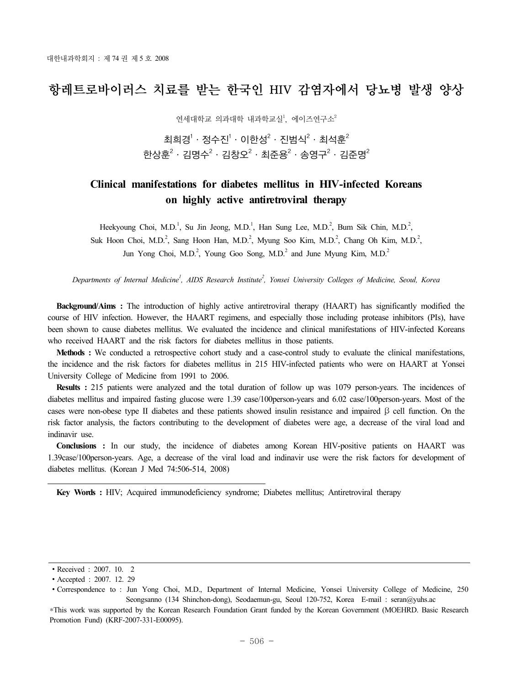# 항레트로바이러스 치료를 받는 한국인 HIV 감염자에서 당뇨병 발생 양상

연세대학교 의과대학 내과학교실<sup>1</sup>, 에이즈연구소<sup>2</sup>

최희경 $^1$  · 정수진 $^1$  · 이한성 $^2$  · 진범식 $^2$  · 최석훈 $^2$ 한상훈 $^2$ ㆍ김명수 $^2$ ㆍ김창오 $^2$ ㆍ최준용 $^2$ ㆍ송영구 $^2\cdot$  김준명 $^2$ 

## **Clinical manifestations for diabetes mellitus in HIV-infected Koreans on highly active antiretroviral therapy**

Heekyoung Choi, M.D.<sup>1</sup>, Su Jin Jeong, M.D.<sup>1</sup>, Han Sung Lee, M.D.<sup>2</sup>, Bum Sik Chin, M.D.<sup>2</sup>, Suk Hoon Choi, M.D.<sup>2</sup>, Sang Hoon Han, M.D.<sup>2</sup>, Myung Soo Kim, M.D.<sup>2</sup>, Chang Oh Kim, M.D.<sup>2</sup>, Jun Yong Choi, M.D.<sup>2</sup>, Young Goo Song, M.D.<sup>2</sup> and June Myung Kim, M.D.<sup>2</sup>

*Departments of Internal Medicine1 , AIDS Research Institute2 , Yonsei University Colleges of Medicine, Seoul, Korea*

**Background/Aims :** The introduction of highly active antiretroviral therapy (HAART) has significantly modified the course of HIV infection. However, the HAART regimens, and especially those including protease inhibitors (PIs), have been shown to cause diabetes mellitus. We evaluated the incidence and clinical manifestations of HIV-infected Koreans who received HAART and the risk factors for diabetes mellitus in those patients.

**Methods :** We conducted a retrospective cohort study and a case-control study to evaluate the clinical manifestations, the incidence and the risk factors for diabetes mellitus in 215 HIV-infected patients who were on HAART at Yonsei University College of Medicine from 1991 to 2006.

**Results :** 215 patients were analyzed and the total duration of follow up was 1079 person-years. The incidences of diabetes mellitus and impaired fasting glucose were 1.39 case/100person-years and 6.02 case/100person-years. Most of the cases were non-obese type II diabetes and these patients showed insulin resistance and impaired β cell function. On the risk factor analysis, the factors contributing to the development of diabetes were age, a decrease of the viral load and indinavir use.

**Conclusions :** In our study, the incidence of diabetes among Korean HIV-positive patients on HAART was 1.39case/100person-years. Age, a decrease of the viral load and indinavir use were the risk factors for development of diabetes mellitus. (Korean J Med 74:506-514, 2008)

**Key Words :** HIV; Acquired immunodeficiency syndrome; Diabetes mellitus; Antiretroviral therapy

<sup>∙</sup>Received : 2007. 10. 2

<sup>∙</sup>Accepted : 2007. 12. 29

<sup>∙</sup>Correspondence to : Jun Yong Choi, M.D., Department of Internal Medicine, Yonsei University College of Medicine, 250 Seongsanno (134 Shinchon-dong), Seodaemun-gu, Seoul 120-752, Korea E-mail : seran@yuhs.ac

<sup>\*</sup>This work was supported by the Korean Research Foundation Grant funded by the Korean Government (MOEHRD. Basic Research Promotion Fund) (KRF-2007-331-E00095).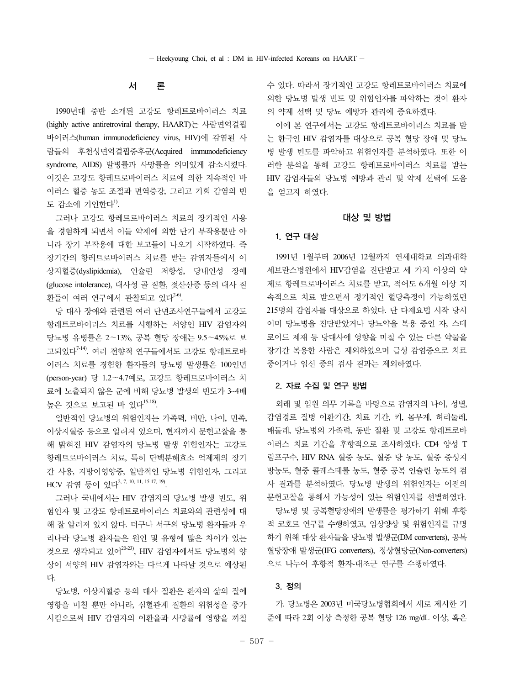## 서 론

1990년대 중반 소개된 고강도 항레트로바이러스 치료 (highly active antiretroviral therapy, HAART)는 사람면역결핍 바이러스(human immunodeficiency virus, HIV)에 감염된 사 람들의 후천성면역결핍증후군(Acquired immunodeficiency syndrome, AIDS) 발병률과 사망률을 의미있게 감소시켰다. 이것은 고강도 항레트로바이러스 치료에 의한 지속적인 바 이러스 혈증 농도 조절과 면역증강, 그리고 기회 감염의 빈 도 감소에 기인한다<sup>1)</sup>.

그러나 고강도 항레트로바이러스 치료의 장기적인 사용 을 경험하게 되면서 이들 약제에 의한 단기 부작용뿐만 아 니라 장기 부작용에 대한 보고들이 나오기 시작하였다. 즉 장기간의 항레트로바이러스 치료를 받는 감염자들에서 이 상지혈증(dyslipidemia), 인슐린 저항성, 당내인성 장애 (glucose intolerance), 대사성 골 질환, 젖산산증 등의 대사 질  $=$  화들이 여러 연구에서 관찰되고 있다 $^{2-6}$ .

당 대사 장애와 관련된 여러 단면조사연구들에서 고강도 항레트로바이러스 치료를 시행하는 서양인 HIV 감염자의 당뇨병 유병률은 2~13%, 공복 혈당 장애는 9.5~45%로 보 고되었다7-14). 여러 전향적 연구들에서도 고강도 항레트로바 이러스 치료를 경험한 환자들의 당뇨병 발생률은 100인년 (person-year) 당 1.2~4.7예로, 고강도 항레트로바이러스 치 료에 노출되지 않은 군에 비해 당뇨병 발생의 빈도가 3~4배 높은 것으로 보고된 바 있다15-18).

일반적인 당뇨병의 위험인자는 가족력, 비만, 나이, 민족, 이상지혈증 등으로 알려져 있으며, 현재까지 문헌고찰을 통 해 밝혀진 HIV 감염자의 당뇨병 발생 위험인자는 고강도 항레트로바이러스 치료, 특히 단백분해효소 억제제의 장기 간 사용, 지방이영양증, 일반적인 당뇨병 위험인자, 그리고 HCV 감염 등이 있다<sup>2, 7, 10, 11, 15-17, 19)</sup>.

그러나 국내에서는 HIV 감염자의 당뇨병 발생 빈도, 위 험인자 및 고강도 항레트로바이러스 치료와의 관련성에 대 해 잘 알려져 있지 않다. 더구나 서구의 당뇨병 환자들과 우 리나라 당뇨병 환자들은 원인 및 유형에 많은 차이가 있는 것으로 생각되고 있어<sup>20-23</sup>, HIV 감염자에서도 당뇨병의 양 상이 서양의 HIV 감염자와는 다르게 나타날 것으로 예상된 다.

당뇨병, 이상지혈증 등의 대사 질환은 환자의 삶의 질에 영향을 미칠 뿐만 아니라, 심혈관계 질환의 위험성을 증가 시킴으로써 HIV 감염자의 이환율과 사망률에 영향을 끼칠

수 있다. 따라서 장기적인 고강도 항레트로바이러스 치료에 의한 당뇨병 발생 빈도 및 위험인자를 파악하는 것이 환자 의 약제 선택 및 당뇨 예방과 관리에 중요하겠다.

이에 본 연구에서는 고강도 항레트로바이러스 치료를 받 는 한국인 HIV 감염자를 대상으로 공복 혈당 장애 및 당뇨 병 발생 빈도를 파악하고 위험인자를 분석하였다. 또한 이 러한 분석을 통해 고강도 항레트로바이러스 치료를 받는 HIV 감염자들의 당뇨병 예방과 관리 및 약제 선택에 도움 을 얻고자 하였다.

#### 대상 및 방법

#### 1. 연구 대상

1991년 1월부터 2006년 12월까지 연세대학교 의과대학 세브란스병원에서 HIV감염을 진단받고 세 가지 이상의 약 제로 항레트로바이러스 치료를 받고, 적어도 6개월 이상 지 속적으로 치료 받으면서 정기적인 혈당측정이 가능하였던 215명의 감염자를 대상으로 하였다. 단 다제요법 시작 당시 이미 당뇨병을 진단받았거나 당뇨약을 복용 중인 자, 스테 로이드 제재 등 당대사에 영향을 미칠 수 있는 다른 약물을 장기간 복용한 사람은 제외하였으며 급성 감염증으로 치료 중이거나 임신 중의 검사 결과는 제외하였다.

#### 2. 자료 수집 및 연구 방법

외래 및 입원 의무 기록을 바탕으로 감염자의 나이, 성별, 감염경로 질병 이환기간, 치료 기간, 키, 몸무게, 허리둘레, 배둘레, 당뇨병의 가족력, 동반 질환 및 고강도 항레트로바 이러스 치료 기간을 후향적으로 조사하였다. CD4 양성 T 림프구수, HIV RNA 혈중 농도, 혈중 당 농도, 혈중 중성지 방농도, 혈중 콜레스테롤 농도, 혈중 공복 인슐린 농도의 검 사 결과를 분석하였다. 당뇨병 발생의 위험인자는 이전의 문헌고찰을 통해서 가능성이 있는 위험인자를 선별하였다. 당뇨병 및 공복혈당장애의 발생률을 평가하기 위해 후향 적 코호트 연구를 수행하였고, 임상양상 및 위험인자를 규명 하기 위해 대상 환자들을 당뇨병 발생군(DM converters), 공복 혈당장애 발생군(IFG converters), 정상혈당군(Non-converters) 으로 나누어 후향적 환자-대조군 연구를 수행하였다.

#### 3. 정의

가. 당뇨병은 2003년 미국당뇨병협회에서 새로 제시한 기 준에 따라 2회 이상 측정한 공복 혈당 126 mg/dL 이상, 혹은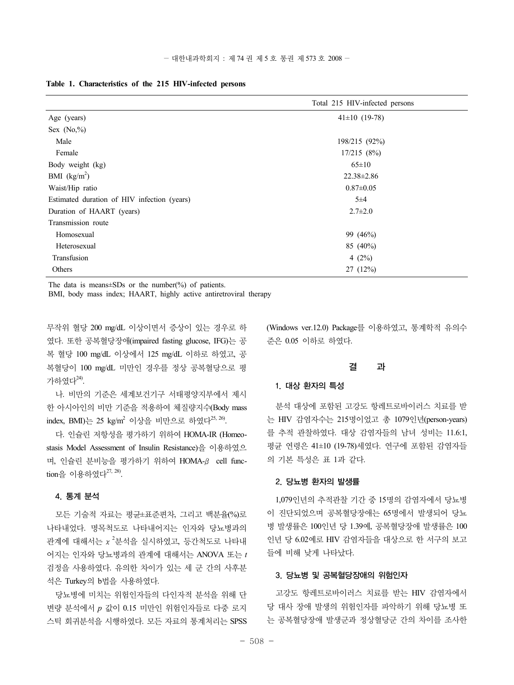|                                             | Total 215 HIV-infected persons |
|---------------------------------------------|--------------------------------|
| Age (years)                                 | $41\pm10$ (19-78)              |
| Sex $(No, %$                                |                                |
| Male                                        | 198/215 (92%)                  |
| Female                                      | 17/215(8%)                     |
| Body weight (kg)                            | $65 \pm 10$                    |
| BMI $(kg/m2)$                               | $22.38 \pm 2.86$               |
| Waist/Hip ratio                             | $0.87 \pm 0.05$                |
| Estimated duration of HIV infection (years) | $5\pm4$                        |
| Duration of HAART (years)                   | $2.7 \pm 2.0$                  |
| Transmission route                          |                                |
| Homosexual                                  | 99 (46%)                       |
| Heterosexual                                | 85 (40%)                       |
| Transfusion                                 | 4 $(2%)$                       |
| Others                                      | 27(12%)                        |

#### **Table 1. Characteristics of the 215 HIV-infected persons**

The data is means $\pm$ SDs or the number(%) of patients.

BMI, body mass index; HAART, highly active antiretroviral therapy

무작위 혈당 200 mg/dL 이상이면서 증상이 있는 경우로 하 였다. 또한 공복혈당장애(impaired fasting glucose, IFG)는 공 복 혈당 100 mg/dL 이상에서 125 mg/dL 이하로 하였고, 공 복혈당이 100 mg/dL 미만인 경우를 정상 공복혈당으로 평 가하였다 $^{24)}$ 

나. 비만의 기준은 세계보건기구 서태평양지부에서 제시 한 아시아인의 비만 기준을 적용하여 체질량지수(Body mass index, BMI)는 25 kg/m<sup>2</sup> 이상을 비만으로 하였다<sup>25, 26</sup>.

다. 인슐린 저항성을 평가하기 위하여 HOMA-IR (Homeostasis Model Assessment of Insulin Resistance)을 이용하였으 며, 인슐린 분비능을 평가하기 위하여 HOMA-β cell func- $\text{tion} = \Omega$ 이용하였다 $^{27, 28}$ .

## 4. 통계 분석

모든 기술적 자료는 평균±표준편차, 그리고 백분율(%)로 나타내었다. 명목척도로 나타내어지는 인자와 당뇨병과의 관계에 대해서는  $x^2$ 분석을 실시하였고, 등간척도로 나타내 어지는 인자와 당뇨병과의 관계에 대해서는 ANOVA 또는 *t* 검정을 사용하였다. 유의한 차이가 있는 세 군 간의 사후분 석은 Turkey의 b법을 사용하였다.

당뇨병에 미치는 위험인자들의 다인자적 분석을 위해 단 변량 분석에서 *p* 값이 0.15 미만인 위험인자들로 다중 로지 스틱 회귀분석을 시행하였다. 모든 자료의 통계처리는 SPSS (Windows ver.12.0) Package를 이용하였고, 통계학적 유의수 준은 0.05 이하로 하였다.

#### 결 과

#### 1. 대상 환자의 특성

분석 대상에 포함된 고강도 항레트로바이러스 치료를 받 는 HIV 감염자수는 215명이었고 총 1079인년(person-years) 를 추적 관찰하였다. 대상 감염자들의 남녀 성비는 11.6:1, 평균 연령은 41±10 (19-78)세였다. 연구에 포함된 감염자들 의 기본 특성은 표 1과 같다.

## 2. 당뇨병 환자의 발생률

1,079인년의 추적관찰 기간 중 15명의 감염자에서 당뇨병 이 진단되었으며 공복혈당장애는 65명에서 발생되어 당뇨 병 발생률은 100인년 당 1.39예, 공복혈당장애 발생률은 100 인년 당 6.02예로 HIV 감염자들을 대상으로 한 서구의 보고 들에 비해 낮게 나타났다.

#### 3. 당뇨병 및 공복혈당장애의 위험인자

고강도 항레트로바이러스 치료를 받는 HIV 감염자에서 당 대사 장애 발생의 위험인자를 파악하기 위해 당뇨병 또 는 공복혈당장애 발생군과 정상혈당군 간의 차이를 조사한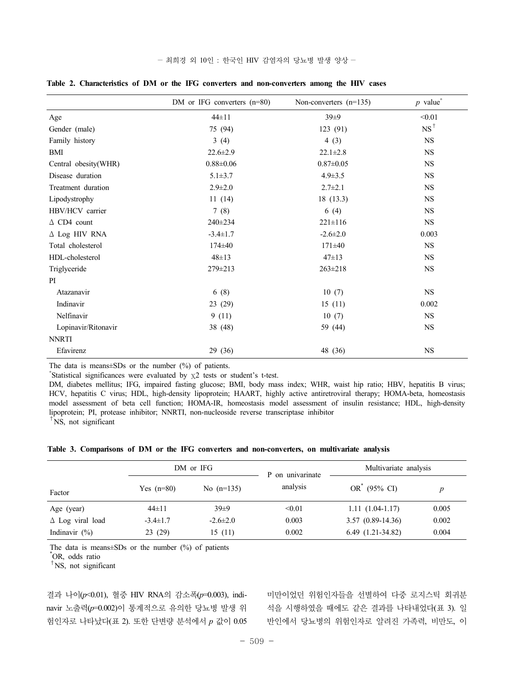|  |  | - 최희경 외 10인 : 한국인 HIV 감염자의 당뇨병 발생 양상 - |  |  |  |
|--|--|----------------------------------------|--|--|--|
|--|--|----------------------------------------|--|--|--|

|                       | DM or IFG converters $(n=80)$ | Non-converters $(n=135)$ | $p$ value <sup>*</sup> |
|-----------------------|-------------------------------|--------------------------|------------------------|
| Age                   | $44\pm11$                     | 39±9                     | < 0.01                 |
| Gender (male)         | 75 (94)                       | 123 (91)                 | $NS^{\dagger}$         |
| Family history        | 3(4)                          | 4(3)                     | <b>NS</b>              |
| <b>BMI</b>            | $22.6 \pm 2.9$                | $22.1 \pm 2.8$           | NS                     |
| Central obesity(WHR)  | $0.88 \pm 0.06$               | $0.87 \pm 0.05$          | <b>NS</b>              |
| Disease duration      | $5.1 \pm 3.7$                 | $4.9 \pm 3.5$            | NS                     |
| Treatment duration    | $2.9 \pm 2.0$                 | $2.7 \pm 2.1$            | <b>NS</b>              |
| Lipodystrophy         | 11(14)                        | 18(13.3)                 | <b>NS</b>              |
| HBV/HCV carrier       | 7(8)                          | 6(4)                     | $_{\rm NS}$            |
| $\triangle$ CD4 count | $240 \pm 234$                 | $221 \pm 116$            | <b>NS</b>              |
| $\Delta$ Log HIV RNA  | $-3.4 \pm 1.7$                | $-2.6 \pm 2.0$           | 0.003                  |
| Total cholesterol     | $174\pm 40$                   | $171\pm40$               | <b>NS</b>              |
| HDL-cholesterol       | $48 \pm 13$                   | $47 \pm 13$              | <b>NS</b>              |
| Triglyceride          | 279±213                       | $263 \pm 218$            | <b>NS</b>              |
| PI                    |                               |                          |                        |
| Atazanavir            | 6(8)                          | 10(7)                    | <b>NS</b>              |
| Indinavir             | 23 (29)                       | 15(11)                   | 0.002                  |
| Nelfinavir            | 9(11)                         | 10(7)                    | <b>NS</b>              |
| Lopinavir/Ritonavir   | 38 (48)                       | 59 (44)                  | $_{\rm NS}$            |
| <b>NNRTI</b>          |                               |                          |                        |
| Efavirenz             | 29 (36)                       | 48 (36)                  | $_{\rm NS}$            |

**Table 2. Characteristics of DM or the IFG converters and non-converters among the HIV cases**

The data is means $\pm$ SDs or the number (%) of patients.

\* Statistical significances were evaluated by χ2 tests or student's t-test.

DM, diabetes mellitus; IFG, impaired fasting glucose; BMI, body mass index; WHR, waist hip ratio; HBV, hepatitis B virus; HCV, hepatitis C virus; HDL, high-density lipoprotein; HAART, highly active antiretroviral therapy; HOMA-beta, homeostasis model assessment of beta cell function; HOMA-IR, homeostasis model assessment of insulin resistance; HDL, high-density lipoprotein; PI, protease inhibitor; NNRTI, non-nucleoside reverse transcriptase inhibitor

 $\hat{N}$ S, not significant

**Table 3. Comparisons of DM or the IFG converters and non-converters, on multivariate analysis**

|                            | DM or IFG      |              | P on univarinate | Multivariate analysis |       |  |
|----------------------------|----------------|--------------|------------------|-----------------------|-------|--|
| Factor                     | Yes $(n=80)$   | No $(n=135)$ | analysis         | $OR^*$ (95% CI)       |       |  |
| Age (year)                 | 44±11          | $39\pm9$     | < 0.01           | $1.11(1.04-1.17)$     | 0.005 |  |
| $\triangle$ Log viral load | $-3.4 \pm 1.7$ | $-2.6\pm2.0$ | 0.003            | $3.57(0.89-14.36)$    | 0.002 |  |
| Indinavir $(\% )$          | 23(29)         | 15(11)       | 0.002            | $6.49(1.21-34.82)$    | 0.004 |  |

The data is means $\pm$ SDs or the number (%) of patients

\* OR, odds ratio

†NS, not significant

결과 나이(*p*<0.01), 혈중 HIV RNA의 감소폭(*p*=0.003), indinavir 노출력(*p*=0.002)이 통계적으로 유의한 당뇨병 발생 위 험인자로 나타났다(표 2). 또한 단변량 분석에서 *p* 값이 0.05

미만이었던 위험인자들을 선별하여 다중 로지스틱 회귀분 석을 시행하였을 때에도 같은 결과를 나타내었다(표 3). 일 반인에서 당뇨병의 위험인자로 알려진 가족력, 비만도, 이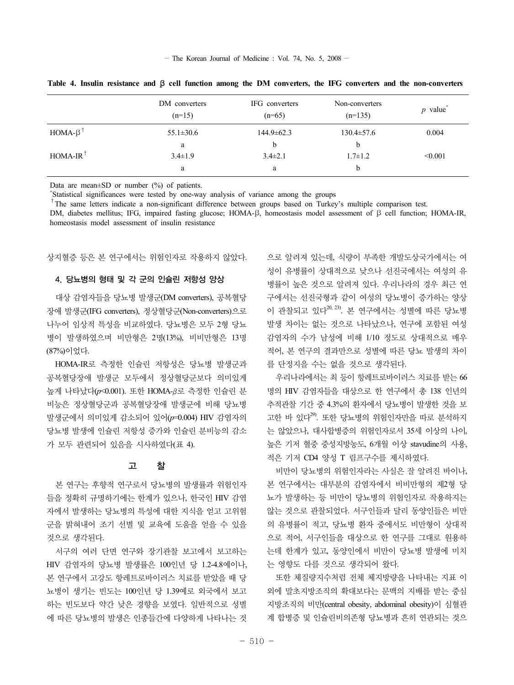$-$  The Korean Journal of Medicine : Vol. 74, No. 5, 2008  $-$ 

|                        | DM converters<br>$(n=15)$ | IFG converters<br>$(n=65)$ | Non-converters<br>$(n=135)$ | $p$ value <sup>*</sup> |
|------------------------|---------------------------|----------------------------|-----------------------------|------------------------|
| $HOMA-\beta^{\dagger}$ | $55.1 \pm 30.6$           | $144.9 \pm 62.3$           | $130.4 \pm 57.6$            | 0.004                  |
|                        | a                         | b                          |                             |                        |
| $HOMA-IR$ <sup>T</sup> | $3.4 \pm 1.9$             | $3.4\pm2.1$                | $1.7 \pm 1.2$               | < 0.001                |
|                        | a                         | a                          | h                           |                        |

**Table 4. Insulin resistance and** β **cell function among the DM converters, the IFG converters and the non-converters**

Data are mean $\pm$ SD or number (%) of patients.

\*Statistical significances were tested by one-way analysis of variance among the groups

 $\dagger$ The same letters indicate a non-significant difference between groups based on Turkey's multiple comparison test.

DM, diabetes mellitus; IFG, impaired fasting glucose; HOMA-β, homeostasis model assessment of β cell function; HOMA-IR, homeostasis model assessment of insulin resistance

상지혈증 등은 본 연구에서는 위험인자로 작용하지 않았다.

## 4. 당뇨병의 형태 및 각 군의 인슐린 저항성 양상

대상 감염자들을 당뇨병 발생군(DM converters), 공복혈당 장애 발생군(IFG converters), 정상혈당군(Non-converters)으로 나누어 임상적 특성을 비교하였다. 당뇨병은 모두 2형 당뇨 병이 발생하였으며 비만형은 2명(13%), 비비만형은 13명 (87%)이었다.

HOMA-IR로 측정한 인슐린 저항성은 당뇨병 발생군과 공복혈당장애 발생군 모두에서 정상혈당군보다 의미있게 높게 나타났다(*p*<0.001). 또한 HOMA-β로 측정한 인슐린 분 비능은 정상혈당군과 공복혈당장애 발생군에 비해 당뇨병 발생군에서 의미있게 감소되어 있어(*p*=0.004) HIV 감염자의 당뇨병 발생에 인슐린 저항성 증가와 인슐린 분비능의 감소 가 모두 관련되어 있음을 시사하였다(표 4).

## 고 찰

본 연구는 후향적 연구로서 당뇨병의 발생률과 위험인자 들을 정확히 규명하기에는 한계가 있으나, 한국인 HIV 감염 자에서 발생하는 당뇨병의 특성에 대한 지식을 얻고 고위험 군을 밝혀내어 조기 선별 및 교육에 도움을 얻을 수 있을 것으로 생각된다.

서구의 여러 단면 연구와 장기관찰 보고에서 보고하는 HIV 감염자의 당뇨병 발생률은 100인년 당 1.2-4.8예이나, 본 연구에서 고강도 항레트로바이러스 치료를 받았을 때 당 뇨병이 생기는 빈도는 100인년 당 1.39예로 외국에서 보고 하는 빈도보다 약간 낮은 경향을 보였다. 일반적으로 성별 에 따른 당뇨병의 발생은 인종들간에 다양하게 나타나는 것

으로 알려져 있는데, 식량이 부족한 개발도상국가에서는 여 성이 유병률이 상대적으로 낮으나 선진국에서는 여성의 유 병률이 높은 것으로 알려져 있다. 우리나라의 경우 최근 연 구에서는 선진국형과 같이 여성의 당뇨병이 증가하는 양상 이 관찰되고 있다<sup>20, 23</sup>. 본 연구에서는 성별에 따른 당뇨병 발생 차이는 없는 것으로 나타났으나, 연구에 포함된 여성 감염자의 수가 남성에 비해 1/10 정도로 상대적으로 매우 적어, 본 연구의 결과만으로 성별에 따른 당뇨 발생의 차이 를 단정지을 수는 없을 것으로 생각된다.

우리나라에서는 최 등이 항레트로바이러스 치료를 받는 66 명의 HIV 감염자들을 대상으로 한 연구에서 총 138 인년의 추적관찰 기간 중 4.3%의 환자에서 당뇨병이 발생한 것을 보 고한 바 있다 $^{29}$ . 또한 당뇨병의 위험인자만을 따로 부석하지 는 않았으나, 대사합병증의 위험인자로서 35세 이상의 나이, 높은 기저 혈중 중성지방농도, 6개월 이상 stavudine의 사용, 적은 기저 CD4 양성 T 림프구수를 제시하였다.

비만이 당뇨병의 위험인자라는 사실은 잘 알려진 바이나, 본 연구에서는 대부분의 감염자에서 비비만형의 제2형 당 뇨가 발생하는 등 비만이 당뇨병의 위험인자로 작용하지는 않는 것으로 관찰되었다. 서구인들과 달리 동양인들은 비만 의 유병률이 적고, 당뇨병 환자 중에서도 비만형이 상대적 으로 적어, 서구인들을 대상으로 한 연구를 그대로 원용하 는데 한계가 있고, 동양인에서 비만이 당뇨병 발생에 미치 는 영향도 다를 것으로 생각되어 왔다.

또한 체질량지수처럼 전체 체지방량을 나타내는 지표 이 외에 말초지방조직의 확대보다는 문맥의 지배를 받는 중심 지방조직의 비만(central obesity, abdominal obesity)이 심혈관 계 합병증 및 인슐린비의존형 당뇨병과 흔히 연관되는 것으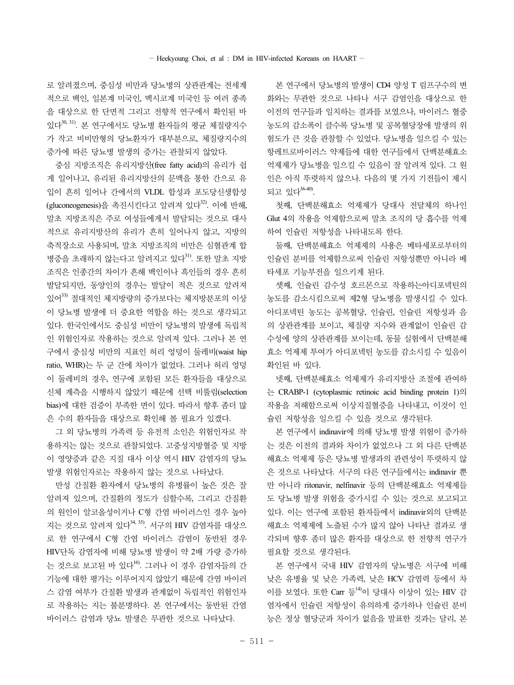로 알려졌으며, 중심성 비만과 당뇨병의 상관관계는 전세계 적으로 백인, 일본계 미국인, 멕시코계 미국인 등 여러 종족 을 대상으로 한 단면적 그리고 전향적 연구에서 확인된 바 있다30, 31). 본 연구에서도 당뇨병 환자들의 평균 체질량지수 가 작고 비비만형의 당뇨환자가 대부분으로, 체질량지수의 증가에 따른 당뇨병 발생의 증가는 관찰되지 않았다.

중심 지방조직은 유리지방산(free fatty acid)의 유리가 쉽 게 일어나고, 유리된 유리지방산의 문맥을 통한 간으로 유 입이 흔히 일어나 간에서의 VLDL 합성과 포도당신생합성  $($ gluconeogenesis $)$ 을 촉진시키다고 알려져 있다 $^{32}$ . 이에 반해, 말초 지방조직은 주로 여성들에게서 발달되는 것으로 대사 적으로 유리지방산의 유리가 흔히 일어나지 않고, 지방의 축적장소로 사용되며, 말초 지방조직의 비만은 심혈관계 합 병증을 초래하지 않는다고 알려지고 있다<sup>31)</sup>. 또한 말초 지방 조직은 인종간의 차이가 흔해 백인이나 흑인들의 경우 흔히 발달되지만, 동양인의 경우는 발달이 적은 것으로 알려져 있어33) 절대적인 체지방량의 증가보다는 체지방분포의 이상 이 당뇨병 발생에 더 중요한 역할을 하는 것으로 생각되고 있다. 한국인에서도 중심성 비만이 당뇨병의 발생에 독립적 인 위험인자로 작용하는 것으로 알려져 있다. 그러나 본 연 구에서 중심성 비만의 지표인 허리 엉덩이 둘레비(waist hip ratio, WHR)는 두 군 간에 차이가 없었다. 그러나 허리 엉덩 이 둘레비의 경우, 연구에 포함된 모든 환자들을 대상으로 신체 계측을 시행하지 않았기 때문에 선택 비뚤림(selection bias)에 대한 검증이 부족한 면이 있다. 따라서 향후 좀더 많 은 수의 환자들을 대상으로 확인해 볼 필요가 있겠다.

그 외 당뇨병의 가족력 등 유전적 소인은 위험인자로 작 용하지는 않는 것으로 관찰되었다. 고중성지방혈증 및 지방 이 영양증과 같은 지질 대사 이상 역시 HIV 감염자의 당뇨 발생 위험인자로는 작용하지 않는 것으로 나타났다.

만성 간질환 환자에서 당뇨병의 유병률이 높은 것은 잘 알려져 있으며, 간질환의 정도가 심할수록, 그리고 간질환 의 원인이 알코올성이거나 C형 간염 바이러스인 경우 높아 지는 것으로 알려져 있다<sup>34, 35</sup>. 서구의 HIV 감염자를 대상으 로 한 연구에서 C형 간염 바이러스 감염이 동반된 경우 HIV단독 감염자에 비해 당뇨병 발생이 약 2배 가량 증가하 는 것으로 보고된 바 있다16). 그러나 이 경우 감염자들의 간 기능에 대한 평가는 이루어지지 않았기 때문에 간염 바이러 스 감염 여부가 간질환 발생과 관계없이 독립적인 위험인자 로 작용하는 지는 불분명하다. 본 연구에서는 동반된 간염 바이러스 감염과 당뇨 발생은 무관한 것으로 나타났다.

본 연구에서 당뇨병의 발생이 CD4 양성 T 림프구수의 변 화와는 무관한 것으로 나타나 서구 감염인을 대상으로 한 이전의 연구들과 일치하는 결과를 보였으나, 바이러스 혈중 농도의 감소폭이 클수록 당뇨병 및 공복혈당장애 발생의 위 험도가 큰 것을 관찰할 수 있었다. 당뇨병을 일으킬 수 있는 항레트로바이러스 약제들에 대한 연구들에서 단백분해효소 억제제가 당뇨병을 일으킬 수 있음이 잘 알려져 있다. 그 원 인은 아직 뚜렷하지 않으나. 다음의 몇 가지 기전들이 제시 되고 있다36-40).

첫째, 단백분해효소 억제제가 당대사 전달체의 하나인 Glut 4의 작용을 억제함으로써 말초 조직의 당 흡수를 억제 하여 인슐린 저항성을 나타내도록 한다.

둘째, 단백분해효소 억제제의 사용은 베타세포로부터의 인슐린 분비를 억제함으로써 인슐린 저항성뿐만 아니라 베 타세포 기능부전을 일으키게 된다.

셋째, 인슐린 감수성 호르몬으로 작용하는아디포넥틴의 농도를 감소시킴으로써 제2형 당뇨병을 발생시킬 수 있다. 아디포넥틴 농도는 공복혈당, 인슐린, 인슐린 저항성과 음 의 상관관계를 보이고, 체질량 지수와 관계없이 인슐린 감 수성에 양의 상관관계를 보이는데, 동물 실험에서 단백분해 효소 억제제 투여가 아디포넥틴 농도를 감소시킬 수 있음이 확인된 바 있다.

넷째, 단백분해효소 억제제가 유리지방산 조절에 관여하 는 CRABP-1 (cytoplasmic retinoic acid binding protein 1)의 작용을 저해함으로써 이상지질혈증을 나타내고, 이것이 인 슐린 저항성을 일으킬 수 있을 것으로 생각된다.

본 연구에서 indinavir에 의해 당뇨병 발생 위험이 증가하 는 것은 이전의 결과와 차이가 없었으나 그 외 다른 단백분 해효소 억제제 등은 당뇨병 발생과의 관련성이 뚜렷하지 않 은 것으로 나타났다. 서구의 다른 연구들에서는 indinavir 뿐 만 아니라 ritonavir, nelfinavir 등의 단백분해효소 억제제들 도 당뇨병 발생 위험을 증가시킬 수 있는 것으로 보고되고 있다. 이는 연구에 포함된 환자들에서 indinavir외의 단백분 해효소 억제제에 노출된 수가 많지 않아 나타난 결과로 생 각되며 향후 좀더 많은 환자를 대상으로 한 전향적 연구가 필요할 것으로 생각된다.

본 연구에서 국내 HIV 감염자의 당뇨병은 서구에 비해 낮은 유병율 및 낮은 가족력, 낮은 HCV 감염력 등에서 차 이를 보였다. 또한 Carr 등<sup>14)</sup>이 당대사 이상이 있는 HIV 감 염자에서 인슐린 저항성이 유의하게 증가하나 인슐린 분비 능은 정상 혈당군과 차이가 없음을 발표한 것과는 달리, 본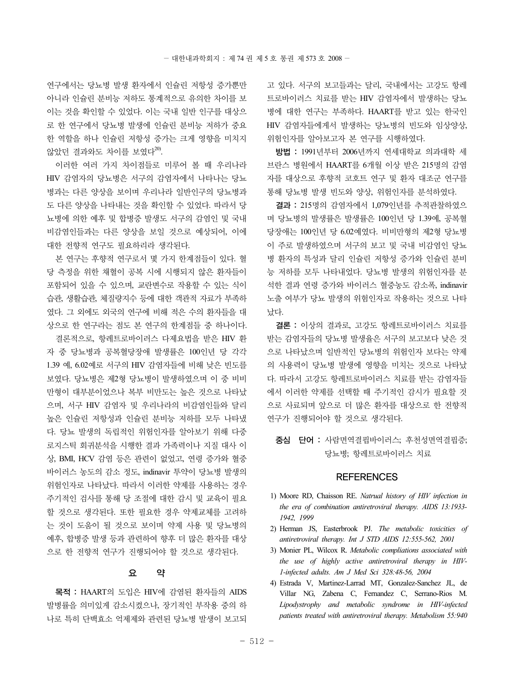연구에서는 당뇨병 발생 환자에서 인슐린 저항성 증가뿐만 아니라 인슐린 분비능 저하도 통계적으로 유의한 차이를 보 이는 것을 확인할 수 있었다. 이는 국내 일반 인구를 대상으 로 한 연구에서 당뇨병 발생에 인슐린 분비능 저하가 중요 한 역할을 하나 인슐린 저항성 증가는 크게 영향을 미치지 않았던 결과와도 차이를 보였다<sup>20)</sup>.

이러한 여러 가지 차이점들로 미루어 볼 때 우리나라 HIV 감염자의 당뇨병은 서구의 감염자에서 나타나는 당뇨 병과는 다른 양상을 보이며 우리나라 일반인구의 당뇨병과 도 다른 양상을 나타내는 것을 확인할 수 있었다. 따라서 당 뇨병에 의한 예후 및 합병증 발생도 서구의 감염인 및 국내 비감염인들과는 다른 양상을 보일 것으로 예상되어, 이에 대한 전향적 연구도 필요하리라 생각된다.

본 연구는 후향적 연구로서 몇 가지 한계점들이 있다. 혈 당 측정을 위한 채혈이 공복 시에 시행되지 않은 환자들이 포함되어 있을 수 있으며, 교란변수로 작용할 수 있는 식이 습관, 생활습관, 체질량지수 등에 대한 객관적 자료가 부족하 였다. 그 외에도 외국의 연구에 비해 적은 수의 환자들을 대 상으로 한 연구라는 점도 본 연구의 한계점들 중 하나이다.

결론적으로, 항레트로바이러스 다제요법을 받은 HIV 환 자 중 당뇨병과 공복혈당장애 발생률은 100인년 당 각각 1.39 예, 6.02예로 서구의 HIV 감염자들에 비해 낮은 빈도를 보였다. 당뇨병은 제2형 당뇨병이 발생하였으며 이 중 비비 만형이 대부분이었으나 복부 비만도는 높은 것으로 나타났 으며, 서구 HIV 감염자 및 우리나라의 비감염인들와 달리 높은 인슐린 저항성과 인슐린 분비능 저하를 모두 나타냈 다. 당뇨 발생의 독립적인 위험인자를 알아보기 위해 다중 로지스틱 회귀분석을 시행한 결과 가족력이나 지질 대사 이 상, BMI, HCV 감염 등은 관련이 없었고, 연령 증가와 혈중 바이러스 농도의 감소 정도, indinavir 투약이 당뇨병 발생의 위험인자로 나타났다. 따라서 이러한 약제를 사용하는 경우 주기적인 검사를 통해 당 조절에 대한 감시 및 교육이 필요 할 것으로 생각된다. 또한 필요한 경우 약제교체를 고려하 는 것이 도움이 될 것으로 보이며 약제 사용 및 당뇨병의 예후, 합병증 발생 등과 관련하여 향후 더 많은 환자를 대상 으로 한 전향적 연구가 진행되어야 할 것으로 생각된다.

## 요 약

목적 : HAART의 도입은 HIV에 감염된 환자들의 AIDS 발병률을 의미있게 감소시켰으나, 장기적인 부작용 중의 하 나로 특히 단백효소 억제제와 관련된 당뇨병 발생이 보고되

고 있다. 서구의 보고들과는 달리, 국내에서는 고강도 항레 트로바이러스 치료를 받는 HIV 감염자에서 발생하는 당뇨 병에 대한 연구는 부족하다. HAART를 받고 있는 한국인 HIV 감염자들에게서 발생하는 당뇨병의 빈도와 임상양상, 위험인자를 알아보고자 본 연구를 시행하였다.

방법 : 1991년부터 2006년까지 연세대학교 의과대학 세 브란스 병원에서 HAART를 6개월 이상 받은 215명의 감염 자를 대상으로 후향적 코호트 연구 및 환자 대조군 연구를 통해 당뇨병 발생 빈도와 양상, 위험인자를 분석하였다.

결과 : 215명의 감염자에서 1,079인년를 추적관찰하였으 며 당뇨병의 발생률은 발생률은 100인년 당 1.39예, 공복혈 당장애는 100인년 당 6.02예였다. 비비만형의 제2형 당뇨병 이 주로 발생하였으며 서구의 보고 및 국내 비감염인 당뇨 병 환자의 특성과 달리 인슐린 저항성 증가와 인슐린 분비 능 저하를 모두 나타내었다. 당뇨병 발생의 위험인자를 분 석한 결과 연령 증가와 바이러스 혈중농도 감소폭, indinavir 노출 여부가 당뇨 발생의 위험인자로 작용하는 것으로 나타 났다.

결론 : 이상의 결과로, 고강도 항레트로바이러스 치료를 받는 감염자들의 당뇨병 발생율은 서구의 보고보다 낮은 것 으로 나타났으며 일반적인 당뇨병의 위험인자 보다는 약제 의 사용력이 당뇨병 발생에 영향을 미치는 것으로 나타났 다. 따라서 고강도 항레트로바이러스 치료를 받는 감염자들 에서 이러한 약제를 선택할 때 주기적인 감시가 필요할 것 으로 사료되며 앞으로 더 많은 환자를 대상으로 한 전향적 연구가 진행되어야 할 것으로 생각된다.

중심 단어 : 사람면역결핍바이러스; 후천성면역결핍증; 당뇨병; 항레트로바이러스 치료

## **REFERENCES**

- 1) Moore RD, Chaisson RE. *Natrual history of HIV infection in the era of combination antiretroviral therapy. AIDS 13:1933- 1942, 1999*
- 2) Herman JS, Easterbrook PJ. *The metabolic toxicities of antiretroviral therapy. Int J STD AIDS 12:555-562, 2001*
- 3) Monier PL, Wilcox R. *Metabolic compliations associated with the use of highly active antiretroviral therapy in HIV-1-infected adults. Am J Med Sci 328:48-56, 2004*
- 4) Estrada V, Martinez-Larrad MT, Gonzalez-Sanchez JL, de Villar NG, Zabena C, Fernandez C, Serrano-Rios M. *Lipodystrophy and metabolic syndrome in HIV-infected patients treated with antiretroviral therapy. Metabolism 55:940*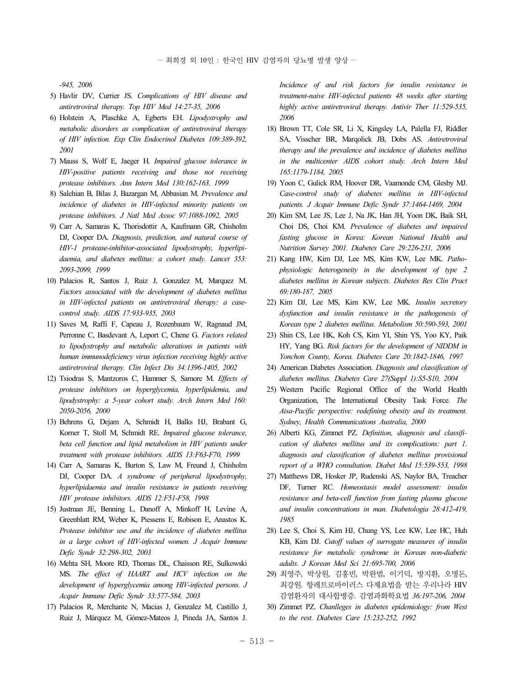*-945, 2006* 

- 5) Havlir DV, Currier JS. *Complications of HIV disease and antiretroviral therapy. Top HIV Med 14:27-35, 2006*
- 6) Holstein A, Plaschke A, Egberts EH. *Lipodystrophy and metabolic disorders as complication of antiretroviral therapy of HIV infection. Exp Clin Endocrinol Diabetes 109:389-392, 2001*
- 7) Mauss S, Wolf E, Jaeger H. *Impaired glucose tolerance in HIV-positive patients receiving and those not receiving protease inhibitors. Ann Intern Med 130:162-163, 1999*
- 8) Salehian B, Bilas J, Bazargan M, Abbasian M. *Prevalence and incidence of diabetes in HIV-infected minority patients on protease inhibitors. J Natl Med Assoc 97:1088-1092, 2005*
- 9) Carr A, Samaras K, Thorisdottir A, Kaufmann GR, Chisholm DJ, Cooper DA. *Diagnosis, prediction, and natural course of HIV-1 protease-inhibitor-associated lipodystrophy, hyperlipidaemia, and diabetes mellitus: a cohort study. Lancet 353: 2093-2099, 1999*
- 10) Palacios R, Santos J, Ruiz J, Gonzalez M, Marquez M. *Factors associated with the development of diabetes mellitus in HIV-infected patients on antiretroviral therapy: a casecontrol study. AIDS 17:933-935, 2003*
- 11) Saves M, Raffi F, Capeau J, Rozenbaum W, Ragnaud JM, Perronne C, Basdevant A, Leport C, Chene G. *Factors related to lipodystrophy and metabolic alterations in patients with human immunodeficiency virus infection receiving highly active antiretroviral therapy. Clin Infect Dis 34:1396-1405, 2002*
- 12) Tsiodras S, Mantzoros C, Hammer S, Samore M. *Effects of protease inhibitors on hyperglycemia, hyperlipidemia, and lipodystrophy: a 5-year cohort study. Arch Intern Med 160: 2050-2056, 2000*
- 13) Behrens G, Dejam A, Schmidt H, Balks HJ, Brabant G, Korner T, Stoll M, Schmidt RE. *Impaired glucose tolerance,*  beta cell function and lipid metabolism in HIV patients under *treatment with protease inhibitors. AIDS 13:F63-F70, 1999*
- 14) Carr A, Samaras K, Burton S, Law M, Freund J, Chisholm DJ, Cooper DA. *A syndrome of peripheral lipodystrophy, hyperlipidaemia and insulin resistance in patients receiving HIV protease inhibitors. AIDS 12:F51-F58, 1998*
- 15) Justman JE, Benning L, Danoff A, Minkoff H, Levine A, Greenblatt RM, Weber K, Piessens E, Robison E, Anastos K. *Protease inhibitor use and the incidence of diabetes mellitus in a large cohort of HIV-infected women. J Acquir Immune Defic Syndr 32:298-302, 2003*
- 16) Mehta SH, Moore RD, Thomas DL, Chaisson RE, Sulkowski MS. *The effect of HAART and HCV infection on the development of hyperglycemia among HIV-infected persons. J Acquir Immune Defic Syndr 33:577-584, 2003*
- 17) Palacios R, Merchante N, Macias J, Gonzalez M, Castillo J, Ruiz J, Márquez M, Gómez-Mateos J, Pineda JA, Santos J.

*Incidence of and risk factors for insulin resistance in treatment-naive HIV-infected patients 48 weeks after starting highly active antiretroviral therapy. Antivir Ther 11:529-535, 2006*

- 18) Brown TT, Cole SR, Li X, Kingsley LA, Palella FJ, Riddler SA, Visscher BR, Marqolick JB, Dobs AS. *Antiretroviral therapy and the prevalence and incidence of diabetes mellitus in the multicenter AIDS cohort study. Arch Intern Med 165:1179-1184, 2005*
- 19) Yoon C, Gulick RM, Hoover DR, Vaamonde CM, Glesby MJ. *Case-control study of diabetes mellitus in HIV-infected patients. J Acquir Immune Defic Syndr 37:1464-1469, 2004*
- 20) Kim SM, Lee JS, Lee J, Na JK, Han JH, Yoon DK, Baik SH, Choi DS, Choi KM. *Prevalence of diabetes and impaired fasting glucose in Korea: Korean National Health and Nutrition Survey 2001. Diabetes Care 29:226-231, 2006*
- 21) Kang HW, Kim DJ, Lee MS, Kim KW, Lee MK. *Pathophysiologic heterogeneity in the development of type 2 diabetes mellitus in Korean subjects. Diabetes Res Clin Pract 69:180-187, 2005*
- 22) Kim DJ, Lee MS, Kim KW, Lee MK. *Insulin secretory dysfunction and insulin resistance in the pathogenesis of Korean type 2 diabetes mellitus. Metabolism 50:590-593, 2001*
- 23) Shin CS, Lee HK, Koh CS, Kim YI, Shin YS, Yoo KY, Paik HY, Yang BG. *Risk factors for the development of NIDDM in Yonchon County, Korea. Diabetes Care 20:1842-1846, 1997*
- 24) American Diabetes Association. *Diagnosis and classification of diabetes mellitus. Diabetes Care 27(Suppl 1):S5-S10, 2004*
- 25) Western Pacific Regional Office of the World Health Organization, The International Obesity Task Force. *The Aisa-Pacific perspective: redefining obesity and its treatment. Sydney, Health Communications Australia, 2000*
- 26) Alberti KG, Zimmet PZ. *Definition, diagnosis and classification of diabetes mellitus and its complications: part 1. diagnosis and classification of diabetes mellitus provisional report of a WHO consultation. Diabet Med 15:539-553, 1998*
- 27) Matthews DR, Hosker JP, Rudenski AS, Naylor BA, Treacher DF, Turner RC. *Homeostasis model assessment: insulin resistance and beta-cell function from fasting plasma glucose and insulin concentrations in man. Diabetologia 28:412-419, 1985*
- 28) Lee S, Choi S, Kim HJ, Chung YS, Lee KW, Lee HC, Huh KB, Kim DJ. *Cutoff values of surrogate measures of insulin resistance for metabolic syndrome in Korean non-diabetic adults. J Korean Med Sci 21:695-700, 2006*
- 29) 최영주, 박상원, 김홍빈, 박완범, 이기덕, 방지환, 오명돈, 최강원. 항레트로바이러스 다제요법을 받는 우리나라 HIV 감염환자의 대사합병증. 감염과화학요법 *36:197-206, 2004*
- 30) Zimmet PZ. *Chanlleges in diabetes epidemiology: from West to the rest. Diabetes Care 15:232-252, 1992*